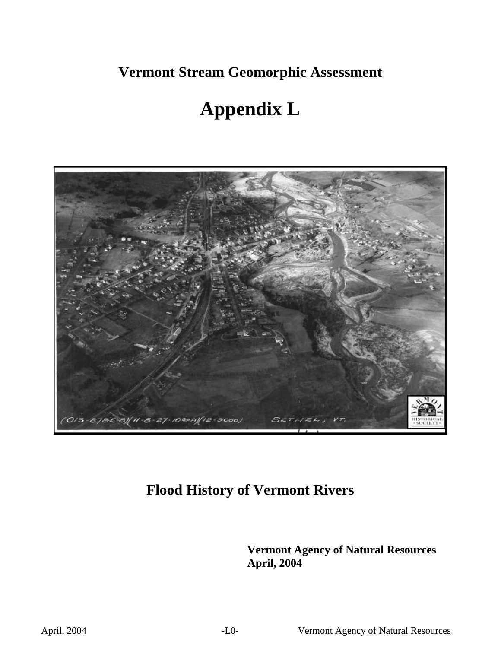**Vermont Stream Geomorphic Assessment** 

# **Appendix L**



## **Flood History of Vermont Rivers**

**Vermont Agency of Natural Resources April, 2004**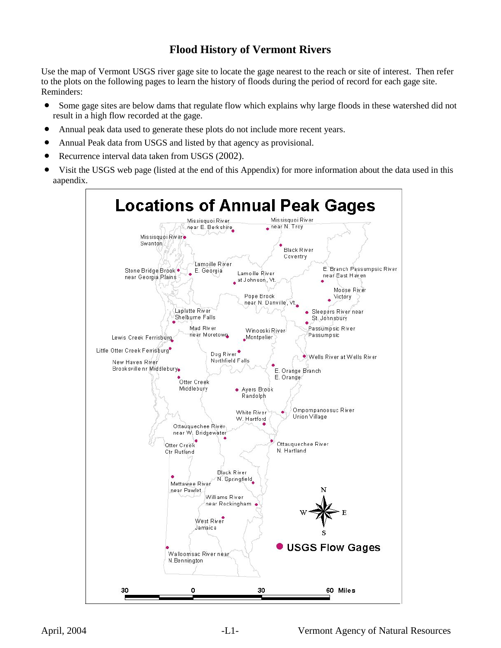## **Flood History of Vermont Rivers**

Use the map of Vermont USGS river gage site to locate the gage nearest to the reach or site of interest. Then refer to the plots on the following pages to learn the history of floods during the period of record for each gage site. Reminders:

- Some gage sites are below dams that regulate flow which explains why large floods in these watershed did not result in a high flow recorded at the gage.
- Annual peak data used to generate these plots do not include more recent years.
- Annual Peak data from USGS and listed by that agency as provisional.
- Recurrence interval data taken from USGS (2002).
- Visit the USGS web page (listed at the end of this Appendix) for more information about the data used in this aapendix.

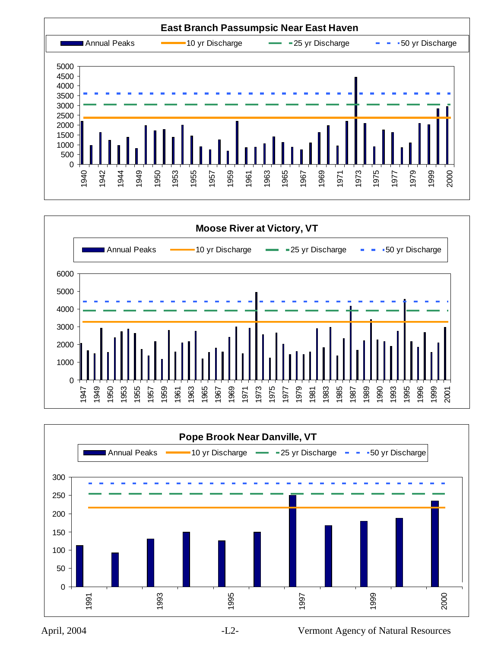



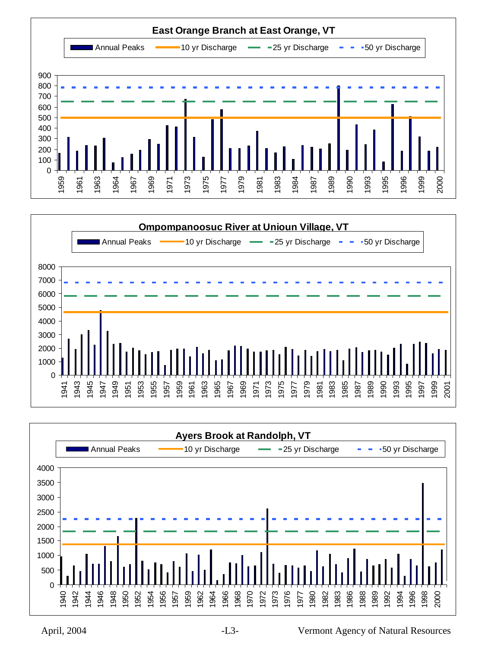



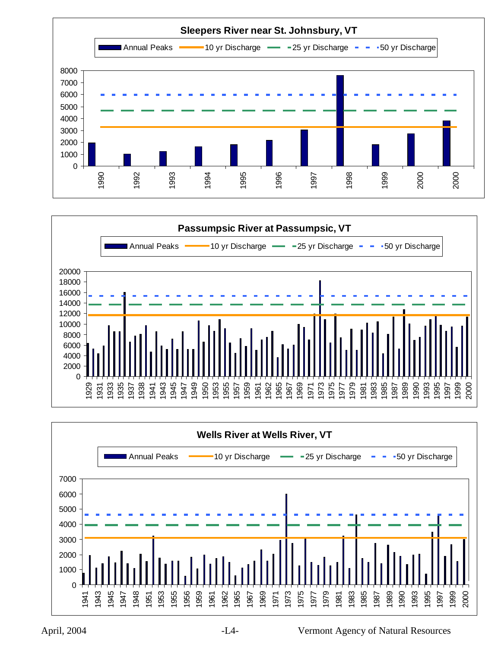



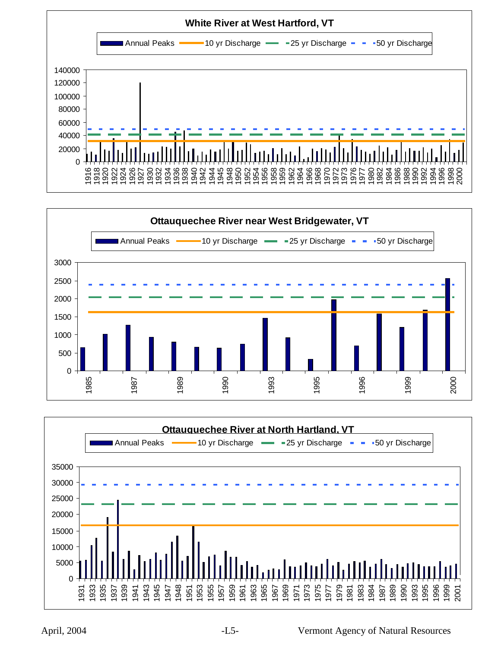



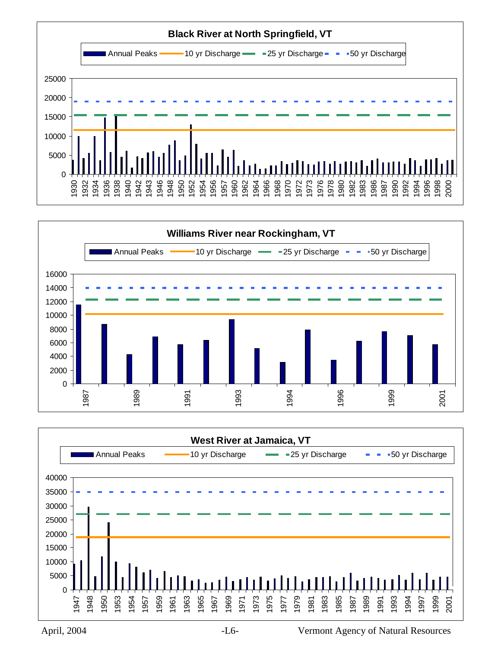





April, 2004 -L6- Vermont Agency of Natural Resources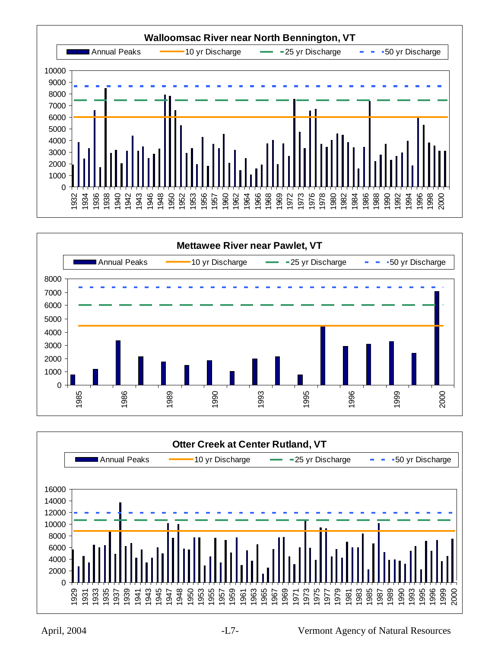



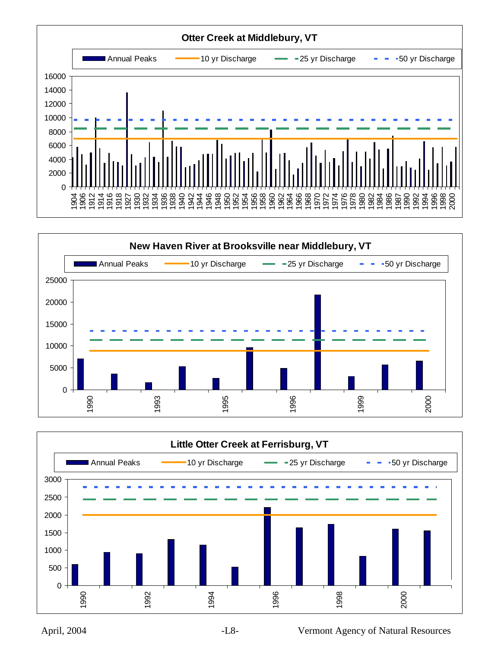



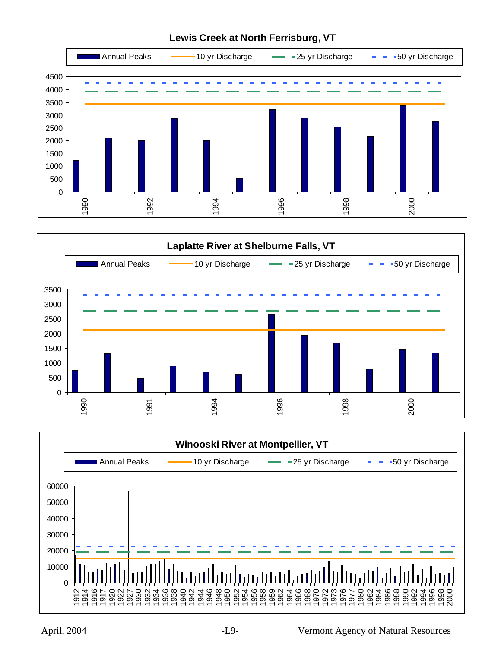



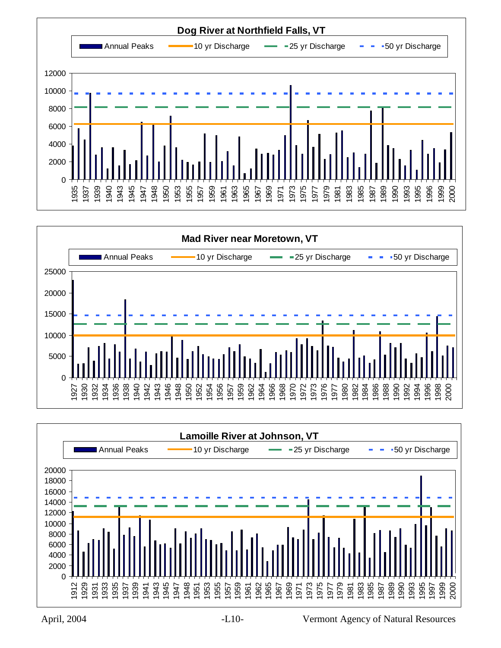





April, 2004 -L10- Vermont Agency of Natural Resources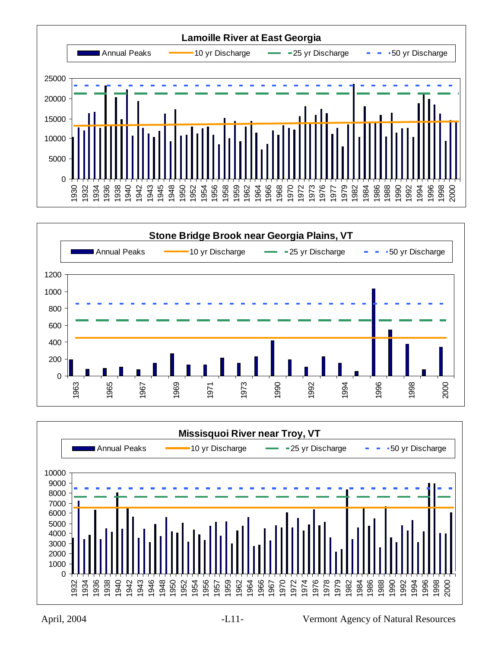



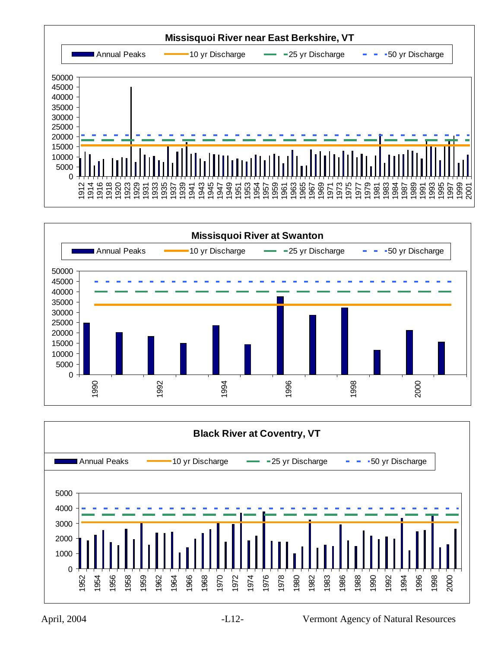